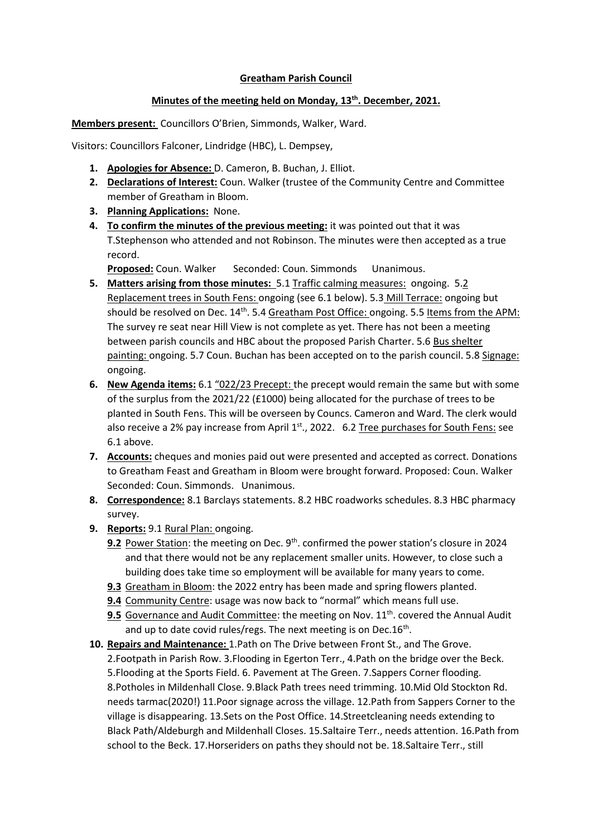## **Greatham Parish Council**

## **Minutes of the meeting held on Monday, 13th. December, 2021.**

**Members present:** Councillors O'Brien, Simmonds, Walker, Ward.

Visitors: Councillors Falconer, Lindridge (HBC), L. Dempsey,

- **1. Apologies for Absence:** D. Cameron, B. Buchan, J. Elliot.
- **2. Declarations of Interest:** Coun. Walker (trustee of the Community Centre and Committee member of Greatham in Bloom.
- **3. Planning Applications:** None.
- **4. To confirm the minutes of the previous meeting:** it was pointed out that it was T.Stephenson who attended and not Robinson. The minutes were then accepted as a true record.

**Proposed:** Coun. Walker Seconded: Coun. Simmonds Unanimous.

- **5. Matters arising from those minutes:** 5.1 Traffic calming measures: ongoing. 5.2 Replacement trees in South Fens: ongoing (see 6.1 below). 5.3 Mill Terrace: ongoing but should be resolved on Dec.  $14<sup>th</sup>$ . 5.4 Greatham Post Office: ongoing. 5.5 Items from the APM: The survey re seat near Hill View is not complete as yet. There has not been a meeting between parish councils and HBC about the proposed Parish Charter. 5.6 Bus shelter painting: ongoing. 5.7 Coun. Buchan has been accepted on to the parish council. 5.8 Signage: ongoing.
- **6. New Agenda items:** 6.1 "022/23 Precept: the precept would remain the same but with some of the surplus from the 2021/22 (£1000) being allocated for the purchase of trees to be planted in South Fens. This will be overseen by Councs. Cameron and Ward. The clerk would also receive a 2% pay increase from April 1<sup>st</sup>., 2022. 6.2 Tree purchases for South Fens: see 6.1 above.
- **7. Accounts:** cheques and monies paid out were presented and accepted as correct. Donations to Greatham Feast and Greatham in Bloom were brought forward. Proposed: Coun. Walker Seconded: Coun. Simmonds. Unanimous.
- **8. Correspondence:** 8.1 Barclays statements. 8.2 HBC roadworks schedules. 8.3 HBC pharmacy survey.
- **9. Reports:** 9.1 Rural Plan: ongoing.
	- **9.2** Power Station: the meeting on Dec. 9<sup>th</sup>. confirmed the power station's closure in 2024 and that there would not be any replacement smaller units. However, to close such a building does take time so employment will be available for many years to come.
	- **9.3** Greatham in Bloom: the 2022 entry has been made and spring flowers planted.
	- 9.4 Community Centre: usage was now back to "normal" which means full use.
	- **9.5** Governance and Audit Committee: the meeting on Nov. 11<sup>th</sup>. covered the Annual Audit and up to date covid rules/regs. The next meeting is on Dec.16<sup>th</sup>.
- **10. Repairs and Maintenance:** 1.Path on The Drive between Front St., and The Grove. 2.Footpath in Parish Row. 3.Flooding in Egerton Terr., 4.Path on the bridge over the Beck. 5.Flooding at the Sports Field. 6. Pavement at The Green. 7.Sappers Corner flooding. 8.Potholes in Mildenhall Close. 9.Black Path trees need trimming. 10.Mid Old Stockton Rd. needs tarmac(2020!) 11.Poor signage across the village. 12.Path from Sappers Corner to the village is disappearing. 13.Sets on the Post Office. 14.Streetcleaning needs extending to Black Path/Aldeburgh and Mildenhall Closes. 15.Saltaire Terr., needs attention. 16.Path from school to the Beck. 17.Horseriders on paths they should not be. 18.Saltaire Terr., still